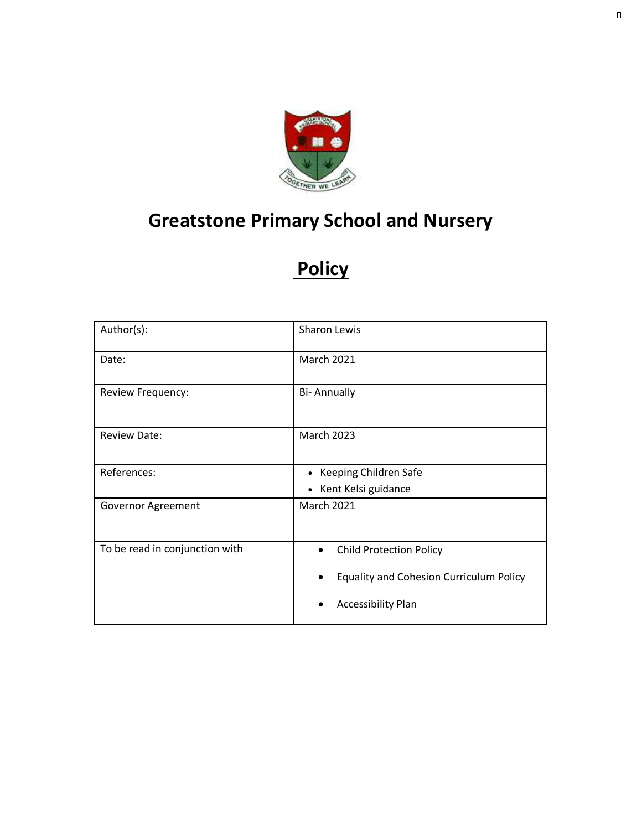

# **Greatstone Primary School and Nursery**

# **Policy**

| Author(s):                     | <b>Sharon Lewis</b>                            |
|--------------------------------|------------------------------------------------|
| Date:                          | <b>March 2021</b>                              |
| Review Frequency:              | <b>Bi-Annually</b>                             |
| <b>Review Date:</b>            | <b>March 2023</b>                              |
| References:                    | • Keeping Children Safe                        |
|                                | • Kent Kelsi guidance                          |
| Governor Agreement             | <b>March 2021</b>                              |
| To be read in conjunction with | <b>Child Protection Policy</b><br>$\bullet$    |
|                                | <b>Equality and Cohesion Curriculum Policy</b> |
|                                | <b>Accessibility Plan</b>                      |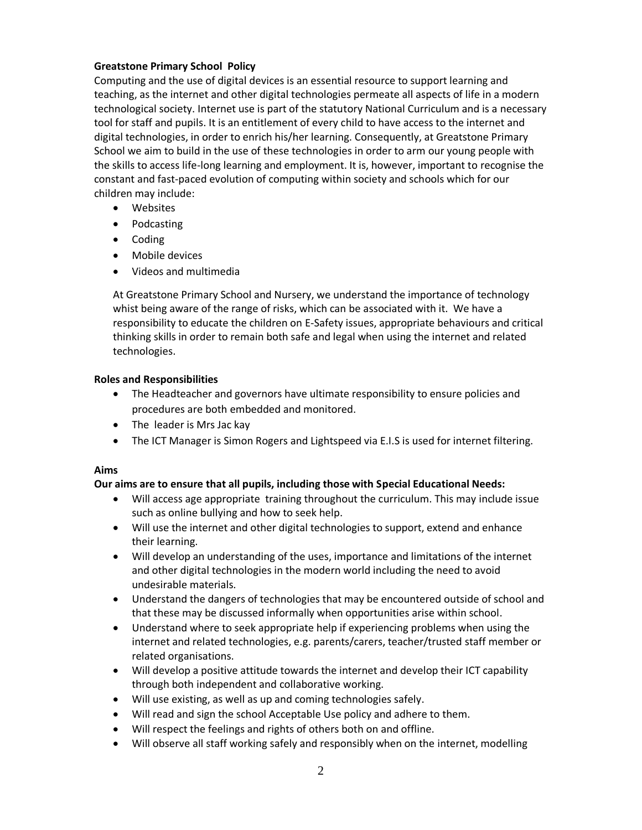### **Greatstone Primary School Policy**

Computing and the use of digital devices is an essential resource to support learning and teaching, as the internet and other digital technologies permeate all aspects of life in a modern technological society. Internet use is part of the statutory National Curriculum and is a necessary tool for staff and pupils. It is an entitlement of every child to have access to the internet and digital technologies, in order to enrich his/her learning. Consequently, at Greatstone Primary School we aim to build in the use of these technologies in order to arm our young people with the skills to access life-long learning and employment. It is, however, important to recognise the constant and fast-paced evolution of computing within society and schools which for our children may include:

- Websites
- Podcasting
- Coding
- Mobile devices
- Videos and multimedia

At Greatstone Primary School and Nursery, we understand the importance of technology whist being aware of the range of risks, which can be associated with it. We have a responsibility to educate the children on E-Safety issues, appropriate behaviours and critical thinking skills in order to remain both safe and legal when using the internet and related technologies.

#### **Roles and Responsibilities**

- The Headteacher and governors have ultimate responsibility to ensure policies and procedures are both embedded and monitored.
- The leader is Mrs Jac kay
- The ICT Manager is Simon Rogers and Lightspeed via E.I.S is used for internet filtering.

#### **Aims**

#### **Our aims are to ensure that all pupils, including those with Special Educational Needs:**

- Will access age appropriate training throughout the curriculum. This may include issue such as online bullying and how to seek help.
- Will use the internet and other digital technologies to support, extend and enhance their learning.
- Will develop an understanding of the uses, importance and limitations of the internet and other digital technologies in the modern world including the need to avoid undesirable materials.
- Understand the dangers of technologies that may be encountered outside of school and that these may be discussed informally when opportunities arise within school.
- Understand where to seek appropriate help if experiencing problems when using the internet and related technologies, e.g. parents/carers, teacher/trusted staff member or related organisations.
- Will develop a positive attitude towards the internet and develop their ICT capability through both independent and collaborative working.
- Will use existing, as well as up and coming technologies safely.
- Will read and sign the school Acceptable Use policy and adhere to them.
- Will respect the feelings and rights of others both on and offline.
- Will observe all staff working safely and responsibly when on the internet, modelling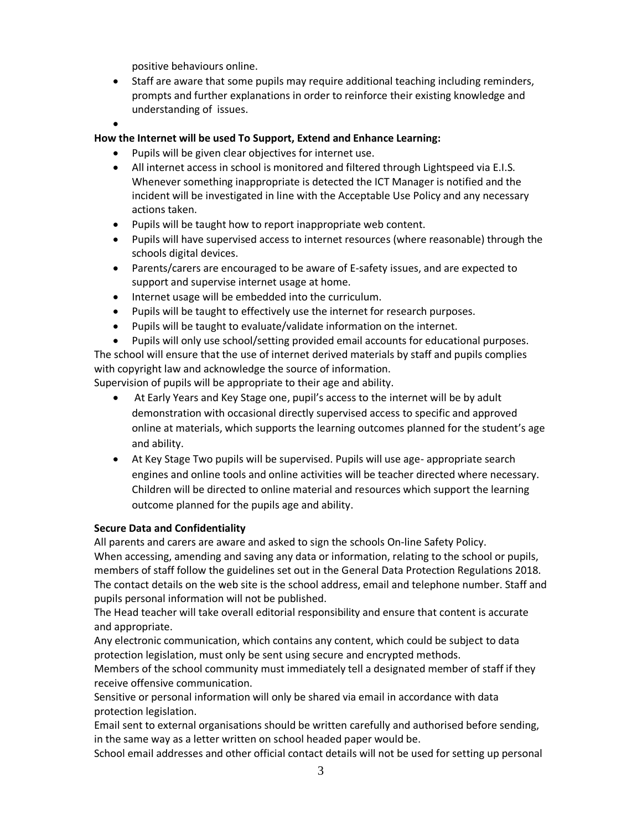positive behaviours online.

- Staff are aware that some pupils may require additional teaching including reminders, prompts and further explanations in order to reinforce their existing knowledge and understanding of issues.
- $\bullet$

### **How the Internet will be used To Support, Extend and Enhance Learning:**

- Pupils will be given clear objectives for internet use.
- All internet access in school is monitored and filtered through Lightspeed via E.I.S. Whenever something inappropriate is detected the ICT Manager is notified and the incident will be investigated in line with the Acceptable Use Policy and any necessary actions taken.
- Pupils will be taught how to report inappropriate web content.
- Pupils will have supervised access to internet resources (where reasonable) through the schools digital devices.
- Parents/carers are encouraged to be aware of E-safety issues, and are expected to support and supervise internet usage at home.
- Internet usage will be embedded into the curriculum.
- Pupils will be taught to effectively use the internet for research purposes.
- Pupils will be taught to evaluate/validate information on the internet.

 Pupils will only use school/setting provided email accounts for educational purposes. The school will ensure that the use of internet derived materials by staff and pupils complies with copyright law and acknowledge the source of information.

Supervision of pupils will be appropriate to their age and ability.

- At Early Years and Key Stage one, pupil's access to the internet will be by adult demonstration with occasional directly supervised access to specific and approved online at materials, which supports the learning outcomes planned for the student's age and ability.
- At Key Stage Two pupils will be supervised. Pupils will use age- appropriate search engines and online tools and online activities will be teacher directed where necessary. Children will be directed to online material and resources which support the learning outcome planned for the pupils age and ability.

#### **Secure Data and Confidentiality**

All parents and carers are aware and asked to sign the schools On-line Safety Policy. When accessing, amending and saving any data or information, relating to the school or pupils, members of staff follow the guidelines set out in the General Data Protection Regulations 2018. The contact details on the web site is the school address, email and telephone number. Staff and pupils personal information will not be published.

The Head teacher will take overall editorial responsibility and ensure that content is accurate and appropriate.

Any electronic communication, which contains any content, which could be subject to data protection legislation, must only be sent using secure and encrypted methods.

Members of the school community must immediately tell a designated member of staff if they receive offensive communication.

Sensitive or personal information will only be shared via email in accordance with data protection legislation.

Email sent to external organisations should be written carefully and authorised before sending, in the same way as a letter written on school headed paper would be.

School email addresses and other official contact details will not be used for setting up personal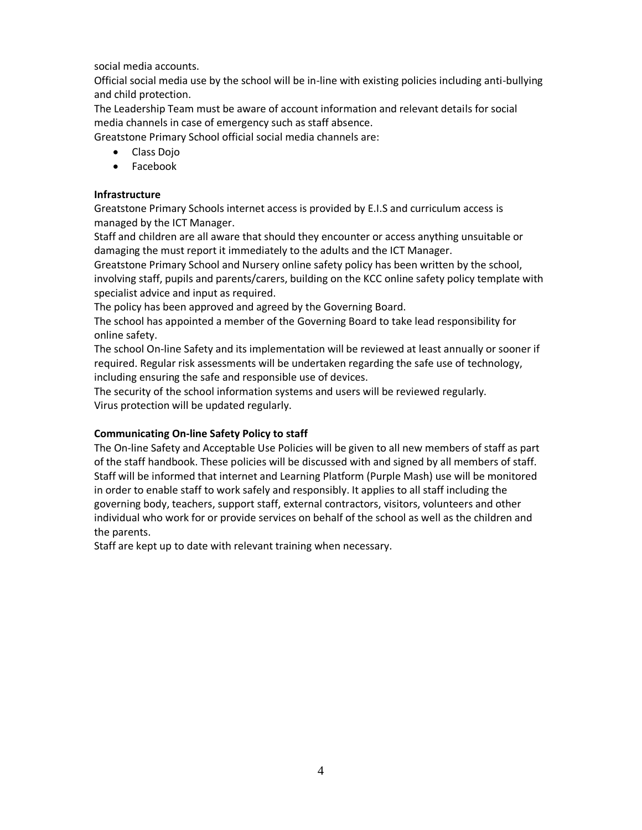social media accounts.

Official social media use by the school will be in-line with existing policies including anti-bullying and child protection.

The Leadership Team must be aware of account information and relevant details for social media channels in case of emergency such as staff absence.

Greatstone Primary School official social media channels are:

- Class Dojo
- Facebook

#### **Infrastructure**

Greatstone Primary Schools internet access is provided by E.I.S and curriculum access is managed by the ICT Manager.

Staff and children are all aware that should they encounter or access anything unsuitable or damaging the must report it immediately to the adults and the ICT Manager.

Greatstone Primary School and Nursery online safety policy has been written by the school, involving staff, pupils and parents/carers, building on the KCC online safety policy template with specialist advice and input as required.

The policy has been approved and agreed by the Governing Board.

The school has appointed a member of the Governing Board to take lead responsibility for online safety.

The school On-line Safety and its implementation will be reviewed at least annually or sooner if required. Regular risk assessments will be undertaken regarding the safe use of technology, including ensuring the safe and responsible use of devices.

The security of the school information systems and users will be reviewed regularly. Virus protection will be updated regularly.

# **Communicating On-line Safety Policy to staff**

The On-line Safety and Acceptable Use Policies will be given to all new members of staff as part of the staff handbook. These policies will be discussed with and signed by all members of staff. Staff will be informed that internet and Learning Platform (Purple Mash) use will be monitored in order to enable staff to work safely and responsibly. It applies to all staff including the governing body, teachers, support staff, external contractors, visitors, volunteers and other individual who work for or provide services on behalf of the school as well as the children and the parents.

Staff are kept up to date with relevant training when necessary.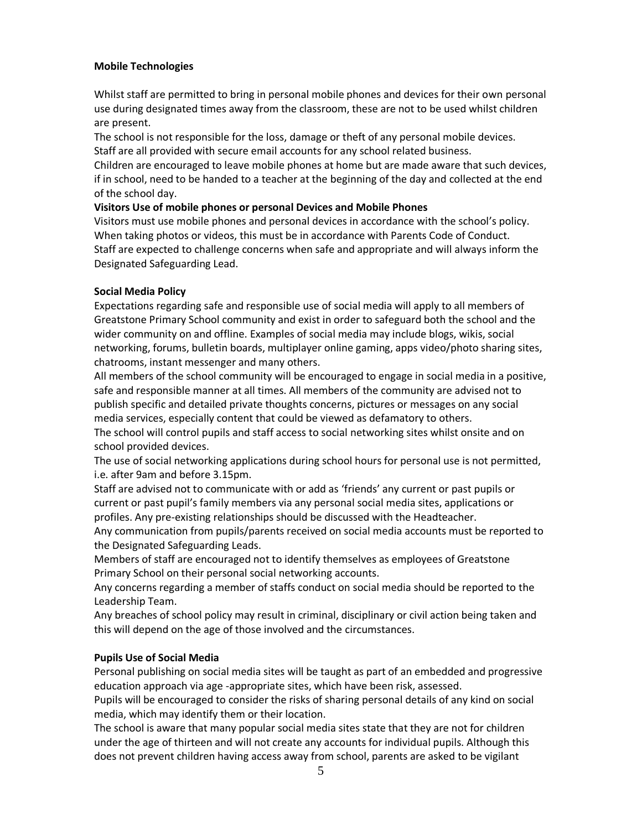#### **Mobile Technologies**

Whilst staff are permitted to bring in personal mobile phones and devices for their own personal use during designated times away from the classroom, these are not to be used whilst children are present.

The school is not responsible for the loss, damage or theft of any personal mobile devices. Staff are all provided with secure email accounts for any school related business.

Children are encouraged to leave mobile phones at home but are made aware that such devices, if in school, need to be handed to a teacher at the beginning of the day and collected at the end of the school day.

#### **Visitors Use of mobile phones or personal Devices and Mobile Phones**

Visitors must use mobile phones and personal devices in accordance with the school's policy. When taking photos or videos, this must be in accordance with Parents Code of Conduct. Staff are expected to challenge concerns when safe and appropriate and will always inform the Designated Safeguarding Lead.

# **Social Media Policy**

Expectations regarding safe and responsible use of social media will apply to all members of Greatstone Primary School community and exist in order to safeguard both the school and the wider community on and offline. Examples of social media may include blogs, wikis, social networking, forums, bulletin boards, multiplayer online gaming, apps video/photo sharing sites, chatrooms, instant messenger and many others.

All members of the school community will be encouraged to engage in social media in a positive, safe and responsible manner at all times. All members of the community are advised not to publish specific and detailed private thoughts concerns, pictures or messages on any social media services, especially content that could be viewed as defamatory to others.

The school will control pupils and staff access to social networking sites whilst onsite and on school provided devices.

The use of social networking applications during school hours for personal use is not permitted, i.e. after 9am and before 3.15pm.

Staff are advised not to communicate with or add as 'friends' any current or past pupils or current or past pupil's family members via any personal social media sites, applications or profiles. Any pre-existing relationships should be discussed with the Headteacher.

Any communication from pupils/parents received on social media accounts must be reported to the Designated Safeguarding Leads.

Members of staff are encouraged not to identify themselves as employees of Greatstone Primary School on their personal social networking accounts.

Any concerns regarding a member of staffs conduct on social media should be reported to the Leadership Team.

Any breaches of school policy may result in criminal, disciplinary or civil action being taken and this will depend on the age of those involved and the circumstances.

# **Pupils Use of Social Media**

Personal publishing on social media sites will be taught as part of an embedded and progressive education approach via age -appropriate sites, which have been risk, assessed.

Pupils will be encouraged to consider the risks of sharing personal details of any kind on social media, which may identify them or their location.

The school is aware that many popular social media sites state that they are not for children under the age of thirteen and will not create any accounts for individual pupils. Although this does not prevent children having access away from school, parents are asked to be vigilant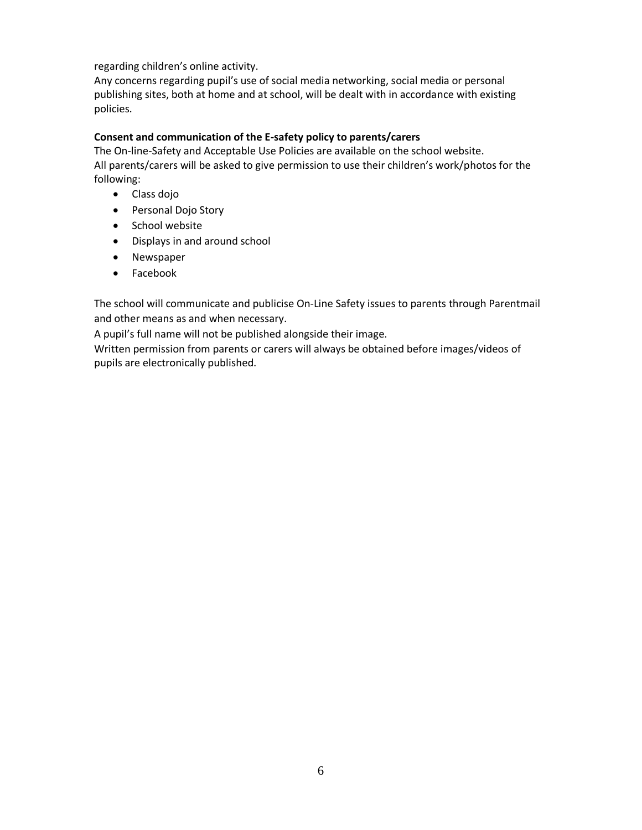regarding children's online activity.

Any concerns regarding pupil's use of social media networking, social media or personal publishing sites, both at home and at school, will be dealt with in accordance with existing policies.

### **Consent and communication of the E-safety policy to parents/carers**

The On-line-Safety and Acceptable Use Policies are available on the school website. All parents/carers will be asked to give permission to use their children's work/photos for the following:

- Class dojo
- Personal Dojo Story
- School website
- Displays in and around school
- Newspaper
- Facebook

The school will communicate and publicise On-Line Safety issues to parents through Parentmail and other means as and when necessary.

A pupil's full name will not be published alongside their image.

Written permission from parents or carers will always be obtained before images/videos of pupils are electronically published.